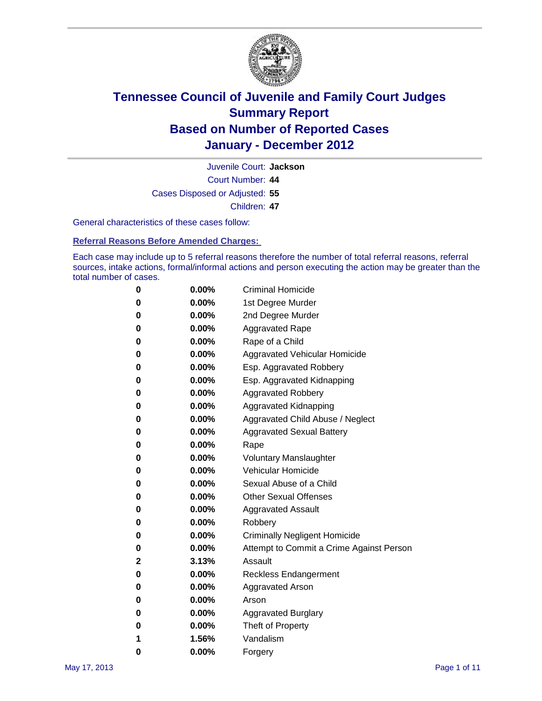

Court Number: **44** Juvenile Court: **Jackson** Cases Disposed or Adjusted: **55** Children: **47**

General characteristics of these cases follow:

**Referral Reasons Before Amended Charges:** 

Each case may include up to 5 referral reasons therefore the number of total referral reasons, referral sources, intake actions, formal/informal actions and person executing the action may be greater than the total number of cases.

| 0 | $0.00\%$ | <b>Criminal Homicide</b>                 |
|---|----------|------------------------------------------|
| 0 | $0.00\%$ | 1st Degree Murder                        |
| 0 | $0.00\%$ | 2nd Degree Murder                        |
| 0 | $0.00\%$ | <b>Aggravated Rape</b>                   |
| 0 | $0.00\%$ | Rape of a Child                          |
| 0 | $0.00\%$ | Aggravated Vehicular Homicide            |
| 0 | $0.00\%$ | Esp. Aggravated Robbery                  |
| 0 | $0.00\%$ | Esp. Aggravated Kidnapping               |
| 0 | $0.00\%$ | <b>Aggravated Robbery</b>                |
| 0 | $0.00\%$ | Aggravated Kidnapping                    |
| 0 | $0.00\%$ | Aggravated Child Abuse / Neglect         |
| 0 | $0.00\%$ | <b>Aggravated Sexual Battery</b>         |
| 0 | 0.00%    | Rape                                     |
| 0 | $0.00\%$ | <b>Voluntary Manslaughter</b>            |
| 0 | $0.00\%$ | Vehicular Homicide                       |
| 0 | $0.00\%$ | Sexual Abuse of a Child                  |
| 0 | $0.00\%$ | <b>Other Sexual Offenses</b>             |
| 0 | $0.00\%$ | <b>Aggravated Assault</b>                |
| 0 | $0.00\%$ | Robbery                                  |
| 0 | $0.00\%$ | <b>Criminally Negligent Homicide</b>     |
| 0 | $0.00\%$ | Attempt to Commit a Crime Against Person |
| 2 | 3.13%    | Assault                                  |
| 0 | $0.00\%$ | <b>Reckless Endangerment</b>             |
| 0 | 0.00%    | <b>Aggravated Arson</b>                  |
| 0 | $0.00\%$ | Arson                                    |
| 0 | $0.00\%$ | <b>Aggravated Burglary</b>               |
| 0 | $0.00\%$ | Theft of Property                        |
| 1 | 1.56%    | Vandalism                                |
| 0 | 0.00%    | Forgery                                  |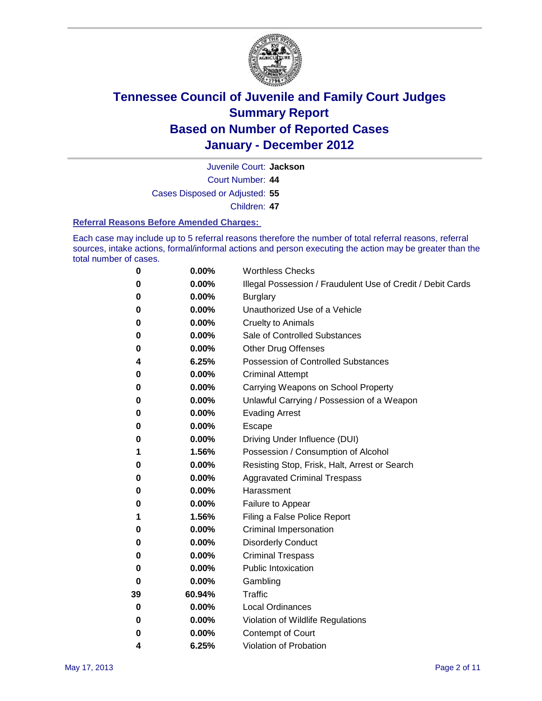

Juvenile Court: **Jackson**

Court Number: **44**

Cases Disposed or Adjusted: **55**

Children: **47**

#### **Referral Reasons Before Amended Charges:**

Each case may include up to 5 referral reasons therefore the number of total referral reasons, referral sources, intake actions, formal/informal actions and person executing the action may be greater than the total number of cases.

| 0  | 0.00%  | <b>Worthless Checks</b>                                     |  |  |  |
|----|--------|-------------------------------------------------------------|--|--|--|
| 0  | 0.00%  | Illegal Possession / Fraudulent Use of Credit / Debit Cards |  |  |  |
| 0  | 0.00%  | <b>Burglary</b>                                             |  |  |  |
| 0  | 0.00%  | Unauthorized Use of a Vehicle                               |  |  |  |
| 0  | 0.00%  | <b>Cruelty to Animals</b>                                   |  |  |  |
| 0  | 0.00%  | Sale of Controlled Substances                               |  |  |  |
| 0  | 0.00%  | <b>Other Drug Offenses</b>                                  |  |  |  |
| 4  | 6.25%  | <b>Possession of Controlled Substances</b>                  |  |  |  |
| 0  | 0.00%  | <b>Criminal Attempt</b>                                     |  |  |  |
| 0  | 0.00%  | Carrying Weapons on School Property                         |  |  |  |
| 0  | 0.00%  | Unlawful Carrying / Possession of a Weapon                  |  |  |  |
| 0  | 0.00%  | <b>Evading Arrest</b>                                       |  |  |  |
| 0  | 0.00%  | Escape                                                      |  |  |  |
| 0  | 0.00%  | Driving Under Influence (DUI)                               |  |  |  |
| 1  | 1.56%  | Possession / Consumption of Alcohol                         |  |  |  |
| 0  | 0.00%  | Resisting Stop, Frisk, Halt, Arrest or Search               |  |  |  |
| 0  | 0.00%  | <b>Aggravated Criminal Trespass</b>                         |  |  |  |
| 0  | 0.00%  | Harassment                                                  |  |  |  |
| 0  | 0.00%  | Failure to Appear                                           |  |  |  |
| 1  | 1.56%  | Filing a False Police Report                                |  |  |  |
| 0  | 0.00%  | Criminal Impersonation                                      |  |  |  |
| 0  | 0.00%  | <b>Disorderly Conduct</b>                                   |  |  |  |
| 0  | 0.00%  | <b>Criminal Trespass</b>                                    |  |  |  |
| 0  | 0.00%  | <b>Public Intoxication</b>                                  |  |  |  |
| 0  | 0.00%  | Gambling                                                    |  |  |  |
| 39 | 60.94% | <b>Traffic</b>                                              |  |  |  |
| 0  | 0.00%  | <b>Local Ordinances</b>                                     |  |  |  |
| 0  | 0.00%  | Violation of Wildlife Regulations                           |  |  |  |
| 0  | 0.00%  | Contempt of Court                                           |  |  |  |
| 4  | 6.25%  | Violation of Probation                                      |  |  |  |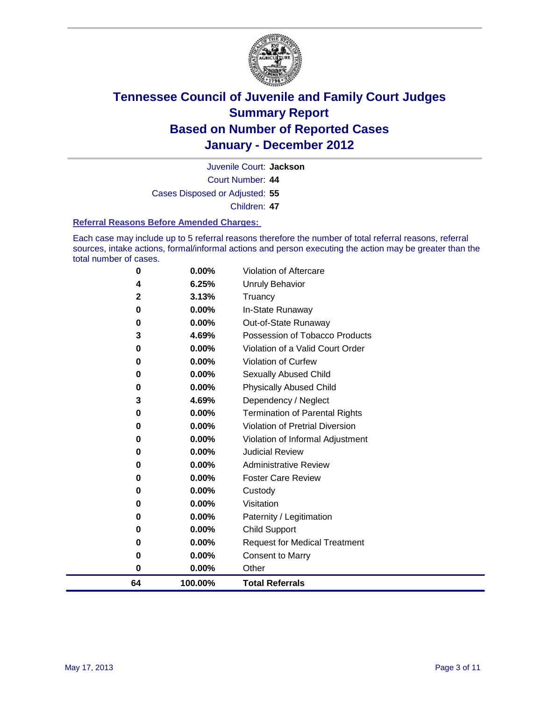

Juvenile Court: **Jackson**

Court Number: **44**

Cases Disposed or Adjusted: **55**

Children: **47**

#### **Referral Reasons Before Amended Charges:**

Each case may include up to 5 referral reasons therefore the number of total referral reasons, referral sources, intake actions, formal/informal actions and person executing the action may be greater than the total number of cases.

| 0            | 0.00%    | Violation of Aftercare                 |
|--------------|----------|----------------------------------------|
| 4            | 6.25%    | <b>Unruly Behavior</b>                 |
| $\mathbf{2}$ | 3.13%    | Truancy                                |
| 0            | $0.00\%$ | In-State Runaway                       |
| 0            | 0.00%    | Out-of-State Runaway                   |
| 3            | 4.69%    | Possession of Tobacco Products         |
| 0            | 0.00%    | Violation of a Valid Court Order       |
| 0            | 0.00%    | Violation of Curfew                    |
| 0            | 0.00%    | Sexually Abused Child                  |
| 0            | 0.00%    | <b>Physically Abused Child</b>         |
| 3            | 4.69%    | Dependency / Neglect                   |
| 0            | 0.00%    | <b>Termination of Parental Rights</b>  |
| 0            | $0.00\%$ | <b>Violation of Pretrial Diversion</b> |
| 0            | 0.00%    | Violation of Informal Adjustment       |
| 0            | $0.00\%$ | <b>Judicial Review</b>                 |
| 0            | 0.00%    | <b>Administrative Review</b>           |
| 0            | $0.00\%$ | <b>Foster Care Review</b>              |
| 0            | 0.00%    | Custody                                |
| 0            | $0.00\%$ | Visitation                             |
| 0            | $0.00\%$ | Paternity / Legitimation               |
| 0            | 0.00%    | <b>Child Support</b>                   |
| 0            | $0.00\%$ | <b>Request for Medical Treatment</b>   |
| 0            | 0.00%    | <b>Consent to Marry</b>                |
| 0            | 0.00%    | Other                                  |
| 64           | 100.00%  | <b>Total Referrals</b>                 |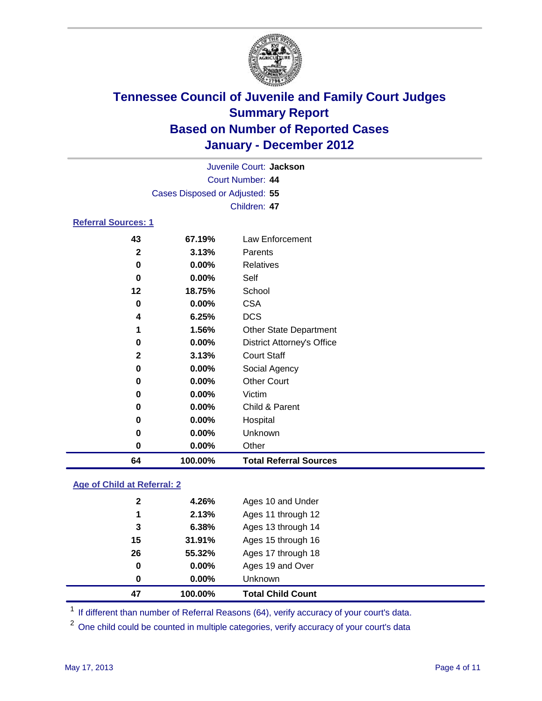

|                            |                                | Juvenile Court: Jackson           |
|----------------------------|--------------------------------|-----------------------------------|
|                            |                                | Court Number: 44                  |
|                            | Cases Disposed or Adjusted: 55 |                                   |
|                            |                                | Children: 47                      |
| <b>Referral Sources: 1</b> |                                |                                   |
| 43                         | 67.19%                         | Law Enforcement                   |
| $\mathbf{2}$               | 3.13%                          | Parents                           |
| 0                          | 0.00%                          | <b>Relatives</b>                  |
| 0                          | 0.00%                          | Self                              |
| 12                         | 18.75%                         | School                            |
| 0                          | $0.00\%$                       | <b>CSA</b>                        |
| 4                          | 6.25%                          | <b>DCS</b>                        |
| 1                          | 1.56%                          | Other State Department            |
| 0                          | $0.00\%$                       | <b>District Attorney's Office</b> |
| 2                          | 3.13%                          | <b>Court Staff</b>                |
| 0                          | 0.00%                          | Social Agency                     |
| 0                          | $0.00\%$                       | <b>Other Court</b>                |
| 0                          | 0.00%                          | Victim                            |
| 0                          | $0.00\%$                       | Child & Parent                    |
| 0                          | $0.00\%$                       | Hospital                          |
| 0                          | $0.00\%$                       | Unknown                           |
| 0                          | 0.00%                          | Other                             |
| 64                         | 100.00%                        | <b>Total Referral Sources</b>     |

### **Age of Child at Referral: 2**

| 47           | 100.00% | <b>Total Child Count</b> |
|--------------|---------|--------------------------|
| 0            | 0.00%   | <b>Unknown</b>           |
| 0            | 0.00%   | Ages 19 and Over         |
| 26           | 55.32%  | Ages 17 through 18       |
| 15           | 31.91%  | Ages 15 through 16       |
| 3            | 6.38%   | Ages 13 through 14       |
| 1            | 2.13%   | Ages 11 through 12       |
| $\mathbf{2}$ | 4.26%   | Ages 10 and Under        |
|              |         |                          |

<sup>1</sup> If different than number of Referral Reasons (64), verify accuracy of your court's data.

<sup>2</sup> One child could be counted in multiple categories, verify accuracy of your court's data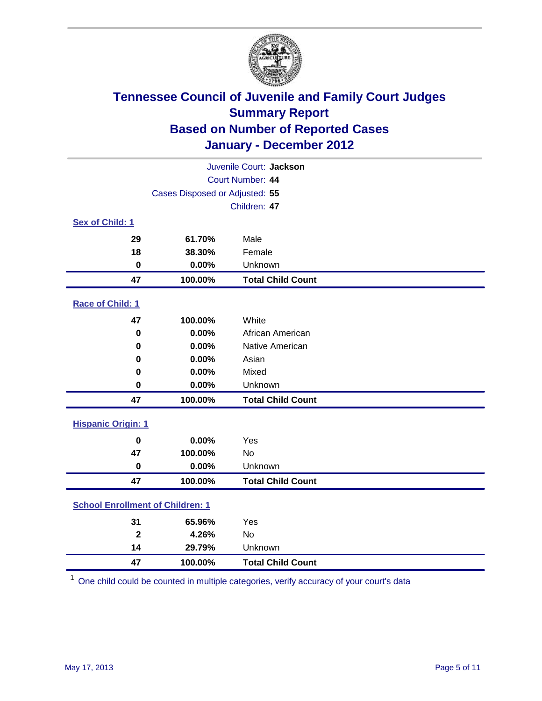

| Juvenile Court: Jackson                 |                                |                          |  |  |  |
|-----------------------------------------|--------------------------------|--------------------------|--|--|--|
| Court Number: 44                        |                                |                          |  |  |  |
|                                         | Cases Disposed or Adjusted: 55 |                          |  |  |  |
|                                         |                                | Children: 47             |  |  |  |
| Sex of Child: 1                         |                                |                          |  |  |  |
| 29                                      | 61.70%                         | Male                     |  |  |  |
| 18                                      | 38.30%                         | Female                   |  |  |  |
| $\mathbf 0$                             | 0.00%                          | Unknown                  |  |  |  |
| 47                                      | 100.00%                        | <b>Total Child Count</b> |  |  |  |
| <b>Race of Child: 1</b>                 |                                |                          |  |  |  |
| 47                                      | 100.00%                        | White                    |  |  |  |
| $\mathbf 0$                             | 0.00%                          | African American         |  |  |  |
| 0                                       | 0.00%                          | Native American          |  |  |  |
| 0                                       | 0.00%                          | Asian                    |  |  |  |
| 0                                       | 0.00%                          | Mixed                    |  |  |  |
| $\mathbf 0$                             | 0.00%                          | Unknown                  |  |  |  |
| 47                                      | 100.00%                        | <b>Total Child Count</b> |  |  |  |
| <b>Hispanic Origin: 1</b>               |                                |                          |  |  |  |
| $\mathbf 0$                             | 0.00%                          | Yes                      |  |  |  |
| 47                                      | 100.00%                        | No                       |  |  |  |
| $\mathbf 0$                             | 0.00%                          | Unknown                  |  |  |  |
| 47                                      | 100.00%                        | <b>Total Child Count</b> |  |  |  |
| <b>School Enrollment of Children: 1</b> |                                |                          |  |  |  |
| 31                                      | 65.96%                         | Yes                      |  |  |  |
| $\mathbf{2}$                            | 4.26%                          | No                       |  |  |  |
| 14                                      | 29.79%                         | Unknown                  |  |  |  |
| 47                                      | 100.00%                        | <b>Total Child Count</b> |  |  |  |

One child could be counted in multiple categories, verify accuracy of your court's data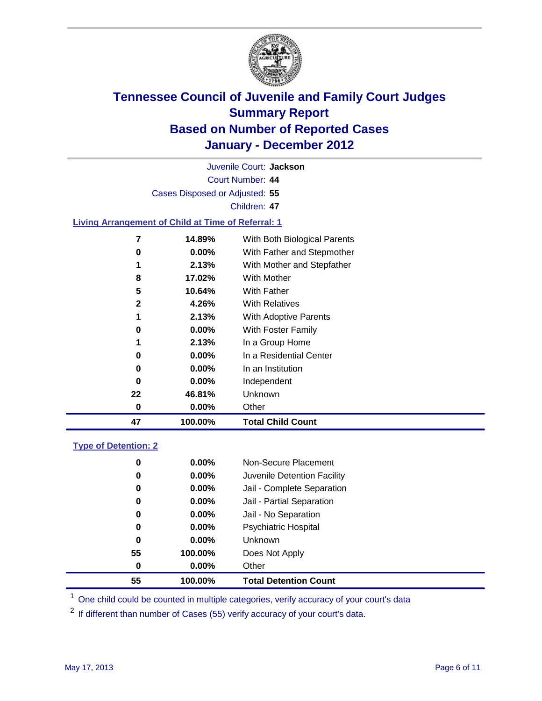

Court Number: **44** Juvenile Court: **Jackson** Cases Disposed or Adjusted: **55** Children: **47 Living Arrangement of Child at Time of Referral: 1 14.89%** With Both Biological Parents **0.00%** With Father and Stepmother **2.13%** With Mother and Stepfather **17.02%** With Mother

| 47 | 100.00%  | <b>Total Child Count</b>     |
|----|----------|------------------------------|
| 0  | $0.00\%$ | Other                        |
| 22 | 46.81%   | Unknown                      |
| 0  | $0.00\%$ | Independent                  |
| 0  | $0.00\%$ | In an Institution            |
| 0  | $0.00\%$ | In a Residential Center      |
| 1  | 2.13%    | In a Group Home              |
| 0  | $0.00\%$ | With Foster Family           |
| 1  | 2.13%    | <b>With Adoptive Parents</b> |
| 2  | 4.26%    | <b>With Relatives</b>        |
| 5  | 10.64%   | With Father                  |

### **Type of Detention: 2**

| 55 | 100.00%  | <b>Total Detention Count</b> |  |
|----|----------|------------------------------|--|
| 0  | 0.00%    | Other                        |  |
| 55 | 100.00%  | Does Not Apply               |  |
| 0  | 0.00%    | <b>Unknown</b>               |  |
| 0  | $0.00\%$ | <b>Psychiatric Hospital</b>  |  |
| 0  | 0.00%    | Jail - No Separation         |  |
| 0  | $0.00\%$ | Jail - Partial Separation    |  |
| 0  | 0.00%    | Jail - Complete Separation   |  |
| 0  | 0.00%    | Juvenile Detention Facility  |  |
| 0  | $0.00\%$ | Non-Secure Placement         |  |
|    |          |                              |  |

<sup>1</sup> One child could be counted in multiple categories, verify accuracy of your court's data

<sup>2</sup> If different than number of Cases (55) verify accuracy of your court's data.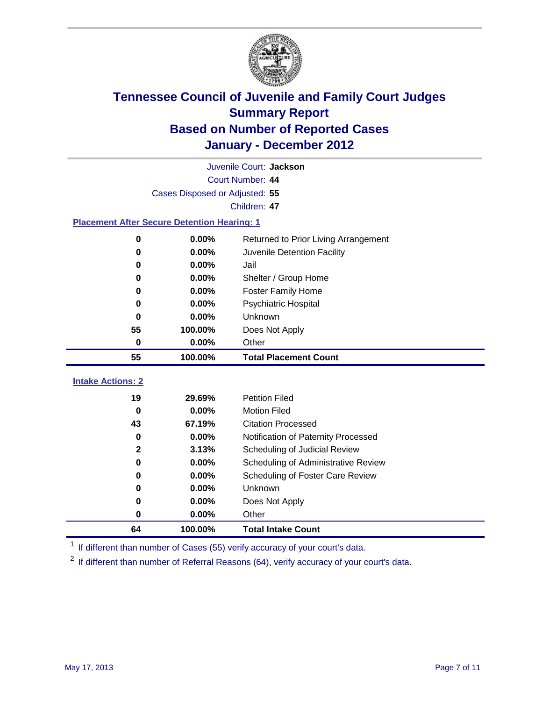

|                                                    | Juvenile Court: Jackson |                                      |  |  |  |
|----------------------------------------------------|-------------------------|--------------------------------------|--|--|--|
|                                                    | Court Number: 44        |                                      |  |  |  |
| Cases Disposed or Adjusted: 55                     |                         |                                      |  |  |  |
| Children: 47                                       |                         |                                      |  |  |  |
| <b>Placement After Secure Detention Hearing: 1</b> |                         |                                      |  |  |  |
| 0                                                  | 0.00%                   | Returned to Prior Living Arrangement |  |  |  |
| $\bf{0}$                                           | 0.00%                   | Juvenile Detention Facility          |  |  |  |
| $\bf{0}$                                           | 0.00%                   | Jail                                 |  |  |  |
| 0                                                  | 0.00%                   | Shelter / Group Home                 |  |  |  |
| $\bf{0}$                                           | 0.00%                   | <b>Foster Family Home</b>            |  |  |  |
| 0                                                  | 0.00%                   | <b>Psychiatric Hospital</b>          |  |  |  |
| $\bf{0}$                                           | 0.00%                   | Unknown                              |  |  |  |
| 55                                                 | 100.00%                 | Does Not Apply                       |  |  |  |
| $\mathbf 0$                                        | 0.00%                   | Other                                |  |  |  |
| 55                                                 | 100.00%                 | <b>Total Placement Count</b>         |  |  |  |
|                                                    |                         |                                      |  |  |  |
| <b>Intake Actions: 2</b>                           |                         |                                      |  |  |  |
| 19                                                 | 29.69%                  | <b>Petition Filed</b>                |  |  |  |
| 0                                                  | 0.00%                   | <b>Motion Filed</b>                  |  |  |  |
| 43                                                 | 67.19%                  | <b>Citation Processed</b>            |  |  |  |
| $\bf{0}$                                           | 0.00%                   | Notification of Paternity Processed  |  |  |  |
| $\mathbf 2$                                        | 3.13%                   | Scheduling of Judicial Review        |  |  |  |
| $\bf{0}$                                           | 0.00%                   | Scheduling of Administrative Review  |  |  |  |
| 0                                                  | 0.00%                   | Scheduling of Foster Care Review     |  |  |  |
| $\bf{0}$                                           | 0.00%                   | Unknown                              |  |  |  |
| 0                                                  | 0.00%                   | Does Not Apply                       |  |  |  |
| $\pmb{0}$                                          | 0.00%                   | Other                                |  |  |  |

<sup>1</sup> If different than number of Cases (55) verify accuracy of your court's data.

<sup>2</sup> If different than number of Referral Reasons (64), verify accuracy of your court's data.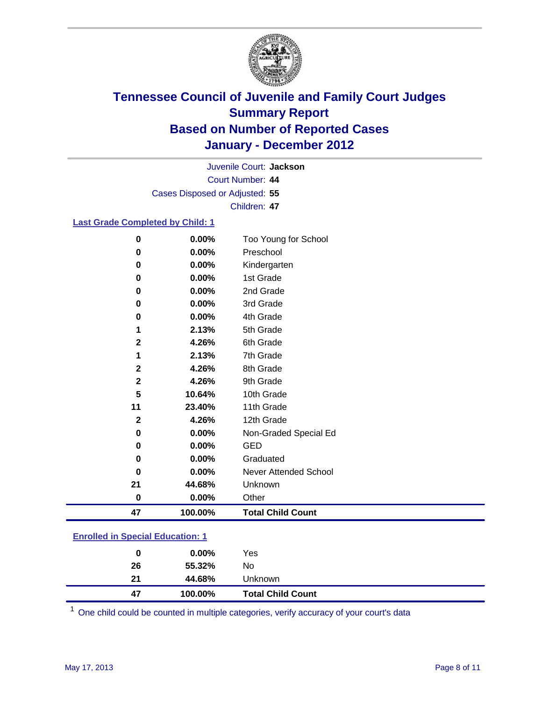

Court Number: **44** Juvenile Court: **Jackson** Cases Disposed or Adjusted: **55** Children: **47**

#### **Last Grade Completed by Child: 1**

| 0            | 0.00%   | Too Young for School         |
|--------------|---------|------------------------------|
| 0            | 0.00%   | Preschool                    |
| 0            | 0.00%   | Kindergarten                 |
| 0            | 0.00%   | 1st Grade                    |
| 0            | 0.00%   | 2nd Grade                    |
| 0            | 0.00%   | 3rd Grade                    |
| 0            | 0.00%   | 4th Grade                    |
| 1            | 2.13%   | 5th Grade                    |
| 2            | 4.26%   | 6th Grade                    |
| 1            | 2.13%   | 7th Grade                    |
| $\mathbf 2$  | 4.26%   | 8th Grade                    |
| $\mathbf{2}$ | 4.26%   | 9th Grade                    |
| 5            | 10.64%  | 10th Grade                   |
| 11           | 23.40%  | 11th Grade                   |
| $\mathbf 2$  | 4.26%   | 12th Grade                   |
| 0            | 0.00%   | Non-Graded Special Ed        |
| 0            | 0.00%   | <b>GED</b>                   |
| 0            | 0.00%   | Graduated                    |
| 0            | 0.00%   | <b>Never Attended School</b> |
| 21           | 44.68%  | Unknown                      |
| $\mathbf 0$  | 0.00%   | Other                        |
| 47           | 100.00% | <b>Total Child Count</b>     |

### **Enrolled in Special Education: 1**

| 47 | 100.00%  | <b>Total Child Count</b> |  |
|----|----------|--------------------------|--|
| 21 | 44.68%   | Unknown                  |  |
| 26 | 55.32%   | No                       |  |
| 0  | $0.00\%$ | Yes                      |  |
|    |          |                          |  |

One child could be counted in multiple categories, verify accuracy of your court's data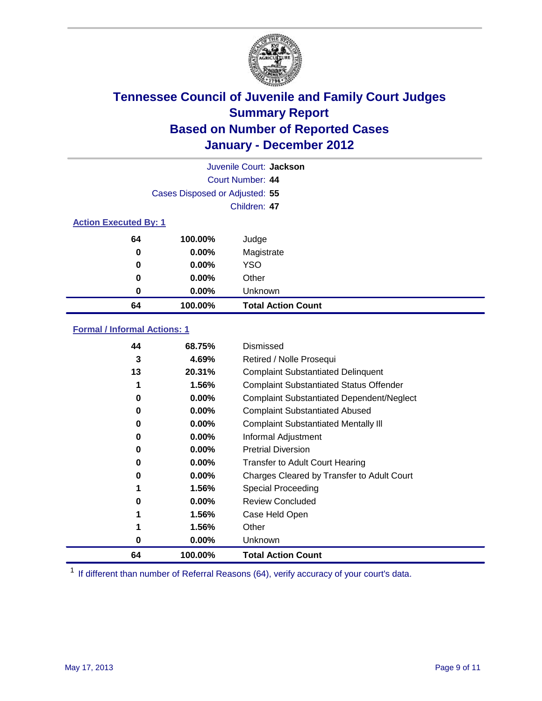

| Juvenile Court: Jackson      |                                |                           |  |  |
|------------------------------|--------------------------------|---------------------------|--|--|
|                              | Court Number: 44               |                           |  |  |
|                              | Cases Disposed or Adjusted: 55 |                           |  |  |
|                              | Children: 47                   |                           |  |  |
| <b>Action Executed By: 1</b> |                                |                           |  |  |
| 64                           | 100.00%                        | Judge                     |  |  |
| 0                            | 0.00%                          | Magistrate                |  |  |
| 0                            | 0.00%                          | YSO                       |  |  |
| 0                            | 0.00%                          | Other                     |  |  |
| 0                            | 0.00%                          | Unknown                   |  |  |
| 64                           | 100.00%                        | <b>Total Action Count</b> |  |  |

### **Formal / Informal Actions: 1**

| 44 | 68.75%   | Dismissed                                        |
|----|----------|--------------------------------------------------|
| 3  | 4.69%    | Retired / Nolle Prosequi                         |
| 13 | 20.31%   | <b>Complaint Substantiated Delinquent</b>        |
|    | 1.56%    | <b>Complaint Substantiated Status Offender</b>   |
| 0  | 0.00%    | <b>Complaint Substantiated Dependent/Neglect</b> |
| 0  | 0.00%    | <b>Complaint Substantiated Abused</b>            |
| 0  | $0.00\%$ | <b>Complaint Substantiated Mentally III</b>      |
| 0  | $0.00\%$ | Informal Adjustment                              |
| 0  | $0.00\%$ | <b>Pretrial Diversion</b>                        |
| 0  | 0.00%    | <b>Transfer to Adult Court Hearing</b>           |
| 0  | 0.00%    | Charges Cleared by Transfer to Adult Court       |
|    | 1.56%    | Special Proceeding                               |
| 0  | 0.00%    | <b>Review Concluded</b>                          |
|    | 1.56%    | Case Held Open                                   |
|    | 1.56%    | Other                                            |
| 0  | $0.00\%$ | Unknown                                          |
| 64 | 100.00%  | <b>Total Action Count</b>                        |

<sup>1</sup> If different than number of Referral Reasons (64), verify accuracy of your court's data.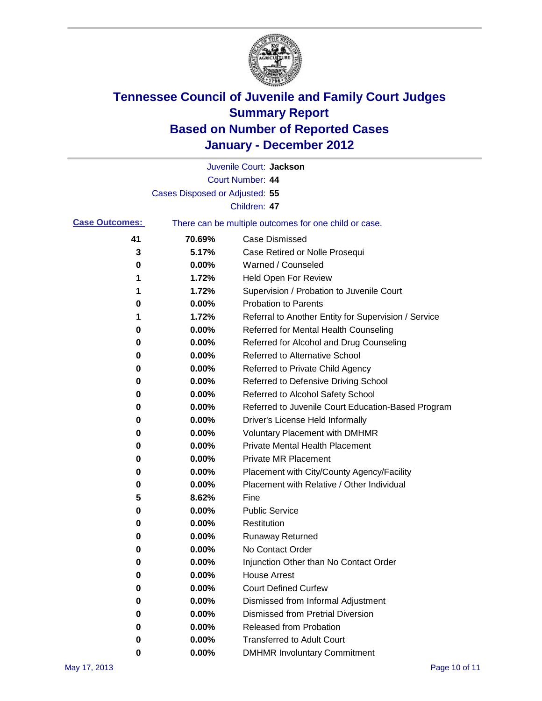

|                       |                                | Juvenile Court: Jackson                               |
|-----------------------|--------------------------------|-------------------------------------------------------|
|                       |                                | Court Number: 44                                      |
|                       | Cases Disposed or Adjusted: 55 |                                                       |
|                       |                                | Children: 47                                          |
| <b>Case Outcomes:</b> |                                | There can be multiple outcomes for one child or case. |
| 41                    | 70.69%                         | <b>Case Dismissed</b>                                 |
| 3                     | 5.17%                          | Case Retired or Nolle Prosequi                        |
| 0                     | 0.00%                          | Warned / Counseled                                    |
| 1                     | 1.72%                          | Held Open For Review                                  |
| 1                     | 1.72%                          | Supervision / Probation to Juvenile Court             |
| 0                     | 0.00%                          | <b>Probation to Parents</b>                           |
| 1                     | 1.72%                          | Referral to Another Entity for Supervision / Service  |
| 0                     | 0.00%                          | Referred for Mental Health Counseling                 |
| 0                     | 0.00%                          | Referred for Alcohol and Drug Counseling              |
| 0                     | 0.00%                          | Referred to Alternative School                        |
| 0                     | 0.00%                          | Referred to Private Child Agency                      |
| 0                     | 0.00%                          | Referred to Defensive Driving School                  |
| 0                     | 0.00%                          | Referred to Alcohol Safety School                     |
| 0                     | 0.00%                          | Referred to Juvenile Court Education-Based Program    |
| 0                     | 0.00%                          | Driver's License Held Informally                      |
| 0                     | 0.00%                          | <b>Voluntary Placement with DMHMR</b>                 |
| 0                     | 0.00%                          | Private Mental Health Placement                       |
| 0                     | 0.00%                          | <b>Private MR Placement</b>                           |
| 0                     | 0.00%                          | Placement with City/County Agency/Facility            |
| 0                     | 0.00%                          | Placement with Relative / Other Individual            |
| 5                     | 8.62%                          | Fine                                                  |
| 0                     | 0.00%                          | <b>Public Service</b>                                 |
| 0                     | 0.00%                          | Restitution                                           |
| 0                     | 0.00%                          | <b>Runaway Returned</b>                               |
| 0                     | 0.00%                          | No Contact Order                                      |
| 0                     | 0.00%                          | Injunction Other than No Contact Order                |
| 0                     | 0.00%                          | <b>House Arrest</b>                                   |
| 0                     | $0.00\%$                       | <b>Court Defined Curfew</b>                           |
| 0                     | $0.00\%$                       | Dismissed from Informal Adjustment                    |
| 0                     | $0.00\%$                       | <b>Dismissed from Pretrial Diversion</b>              |
| 0                     | 0.00%                          | <b>Released from Probation</b>                        |
| 0                     | $0.00\%$                       | <b>Transferred to Adult Court</b>                     |
| 0                     | 0.00%                          | <b>DMHMR Involuntary Commitment</b>                   |